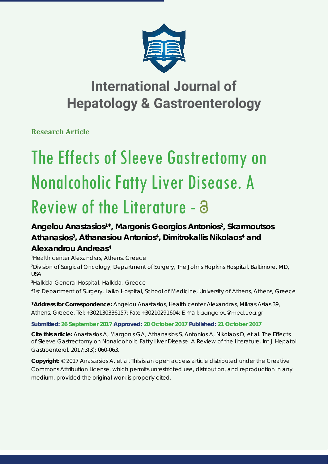

# **International Journal of Hepatology & Gastroenterology**

**Research Article**

# The Effects of Sleeve Gastrectomy on Nonalcoholic Fatty Liver Disease. A Review of the Literature -  $\partial$

## Angelou Anastasios<sup>1\*</sup>, Margonis Georgios Antonios<sup>2</sup>, Skarmoutsos Athanasios<sup>3</sup>, Athanasiou Antonios<sup>4</sup>, Dimitrokallis Nikolaos<sup>4</sup> and **Alexandrou Andreas4**

 *Health center Alexandras, Athens, Greece Division of Surgical Oncology, Department of Surgery, The Johns Hopkins Hospital, Baltimore, MD, USA Halkida General Hospital, Halkida, Greece*

*4 1st Department of Surgery, Laiko Hospital, School of Medicine, University of Athens, Athens, Greece*

**\*Address for Correspondence:** Angelou Anastasios, Health center Alexandras, Mikras Asias 39, Athens, Greece, Tel: +302130336157; Fax: +30210291604; E-mail: aangelou@med.uoa.gr

### **Submitted: 26 September 2017 Approved: 20 October 2017 Published: 21 October 2017**

**Cite this article:** Anastasios A, Margonis GA, Athanasios S, Antonios A, Nikolaos D, et al. The Effects of Sleeve Gastrectomy on Nonalcoholic Fatty Liver Disease. A Review of the Literature. Int J Hepatol Gastroenterol. 2017;3(3): 060-063.

**Copyright:** © 2017 Anastasios A, et al. This is an open access article distributed under the Creative Commons Attribution License, which permits unrestricted use, distribution, and reproduction in any medium, provided the original work is properly cited.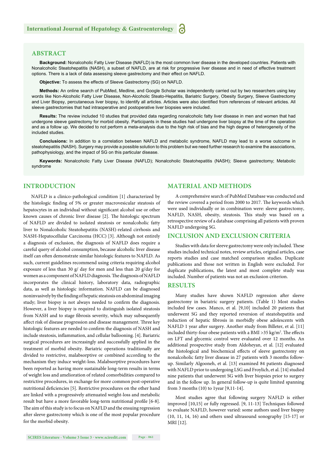#### **ABSTRACT**

**Background:** Nonalcoholic Fatty Liver Disease (NAFLD) is the most common liver disease in the developed countries. Patients with Nonalcoholic Steatohepatitis (NASH), a subset of NAFLD, are at risk for progressive liver disease and in need of effective treatment options. There is a lack of data assessing sleeve gastrectomy and their effect on NAFLD.

**Objective:** To assess the effects of Sleeve Gastrectomy (SG) on NAFLD.

**Methods:** An online search of PubMed, Medline, and Google Scholar was independently carried out by two researchers using key words like Non-Alcoholic Fatty Liver Disease, Non-Alcoholic Steato-Hepatitis, Bariatric Surgery, Obesity Surgery, Sleeve Gastrectomy and Liver Biopsy, percutaneous liver biopsy, to identify all articles. Articles were also identified from references of relevant articles. All sleeve gastrectomies that had intraoperative and postoperative liver biopsies were included.

**Results:** The review included 10 studies that provided data regarding nonalcoholic fatty liver disease in men and women that had undergone sleeve gastrectomy for morbid obesity. Participants in these studies had undergone liver biopsy at the time of the operation and as a follow up. We decided to not perform a meta-analysis due to the high risk of bias and the high degree of heterogeneity of the included studies.

**Conclusions:** In addition to a correlation between NAFLD and metabolic syndrome, NAFLD may lead to a worse outcome in steatohepatitis (NASH). Surgery may provide a possible solution to this problem but we need further research to examine the associations, pathophysiology, and the impact of SG on this particular disease.

**Keywords:** Nonalcoholic Fatty Liver Disease (NAFLD); Nonalcoholic Steatohepatitis (NASH); Sleeve gastrectomy; Metabolic syndrome

#### **INTRODUCTION**

NAFLD is a clinico-pathological condition [1] characterized by the histologic finding of 5% or greater macrovesicular steatosis of hepatocytes in an individual without significant alcohol use or other known causes of chronic liver disease [2]. The histologic spectrum of NAFLD are divided to isolated steatosis or nonalcoholic fatty liver to Nonalcoholic Steatohepatitis (NASH)-related cirrhosis and NASH-Hepatocellular Carcinoma (HCC) [3]. Although not entirely a diagnosis of exclusion, the diagnosis of NAFLD does require a careful query of alcohol consumption, because alcoholic liver disease itself can often demonstrate similar histologic features to NAFLD. As such, current guidelines recommend using criteria requiring alcohol exposure of less than 30 g/ day for men and less than 20 g/day for women as a component of NAFLD diagnosis. The diagnosis of NAFLD incorporates the clinical history, laboratory data, radiographic data, as well as histologic information. NAFLD can be diagnosed noninvasively by the finding of hepatic steatosis on abdominal imaging study; liver biopsy is not always needed to confirm the diagnosis. However, a liver biopsy is required to distinguish isolated steatosis from NASH and to stage fibrosis severity, which may subsequently affect risk of disease progression and disease management. Three key histologic features are needed to confirm the diagnosis of NASH and include steatosis, inflammation, and cellular ballooning. [4]. Bariatric surgical procedures are increasingly and successfully applied in the treatment of morbid obesity. Bariatric operations traditionally are divided to restrictive, malabsorptive or combined according to the mechanism they induce weight-loss. Malabsorptive procedures have been reported as having more sustainable long-term results in terms of weight loss and amelioration of related comorbidities compared to restrictive procedures, in exchange for more common post-operative nutritional deficiencies [5]. Restrictive procedures on the other hand are linked with a progressively attenuated weight-loss and metabolic result but have a more favorable long-term nutritional profile [6-8]. The aim of this study is to focus on NAFLD and the ensuing regression after sleeve gastrectomy which is one of the most popular procedure for the morbid obesity.

#### **MATERIAL AND METHODS**

A comprehensive search of PubMed Database was conducted and the review covered a period from 2000 to 2017. The keywords which were used individually or in combination were: sleeve gastrectomy, NAFLD, NASH, obesity, steatosis. This study was based on a retrospective review of a database comprising all patients with proven NAFLD undergoing SG.

#### **INCLUSION AND EXCLUSION CRITERIA**

Studies with data for sleeve gastrectomy were only included. These studies included technical notes, review articles, original articles, case reports studies and case matched comparison studies. Duplicate publications and those not written in English were excluded. For duplicate publications, the latest and most complete study was included. Number of patients was not an exclusion criterion.

#### **RESULTS**

Many studies have shown NAFLD regression after sleeve gastrectomy in bariatric surgery patients. (Table 1) Most studies included few cases. Manco, et al. [9,10] included 20 patients that underwent SG and they reported reversion of steatohepatitis and reduction of hepatic fibrosis in morbidly obese adolescents with NAFLD 1 year after surgery. Another study from Billeter, et al. [11] included thirty-four obese patients with a BMI > 35 kg/m<sup>2</sup>. The effects on LFT and glycemic control were evaluated over 12 months. An additional prospective study from Aldoheyan, et al. [12] evaluated the histological and biochemical effects of sleeve gastrectomy on nonalcoholic fatty liver disease in 27 patients with 3 months followup. Similarly Algooneh, et al. [13] examined 84 patients diagnosed with NAFLD prior to undergoing LSG and Froylich, et al. [14] studied nine patients that underwent SG with liver biopsies prior to surgery and in the follow up. In general follow-up is quite limited spanning from 3 months (10) to 1year [9,11-14].

Most studies agree that following surgery NAFLD is either improved [10,15] or fully regressed. [9, 11-13] Techniques followed to evaluate NAFLD, however varied: some authors used liver biopsy (10, 11, 14, 16) and others used ultrasound sonography [15-17] or MRI [12].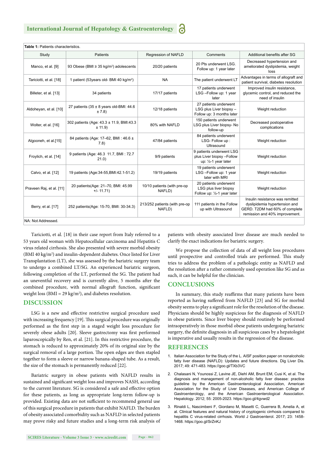| Table 1: Patients characteristics. |                                                         |                                         |                                                                               |                                                                                                                                      |
|------------------------------------|---------------------------------------------------------|-----------------------------------------|-------------------------------------------------------------------------------|--------------------------------------------------------------------------------------------------------------------------------------|
| Study                              | <b>Patients</b>                                         | Regression of NAFLD                     | Comments                                                                      | Additional benefits after SG                                                                                                         |
| Manco, et al. [9]                  | 93 Obese (BMI $\geq$ 35 kg/m <sup>2</sup> ) adolescents | 20/20 patients                          | 20 Pts underwent LSG.<br>Follow up: 1 year later                              | Decreased hypertension and<br>ameliorated dyslipidemia, weight<br>loss                                                               |
| Tariciotti, et al. [18]            | 1 patient (53years old- BMI 40 kg/m <sup>2</sup> )      | <b>NA</b>                               | The patient underwent LT                                                      | Advantages in terms of allograft and<br>patient survival, diabetes resolution                                                        |
| Billeter, et al. [13]              | 34 patients                                             | 17/17 patients                          | 17 patients underwent<br>LSG-Follow up: 1 year<br>later                       | Improved insulin resistance,<br>glycemic control, and reduced the<br>need of insulin                                                 |
| Aldoheyan, et al. [10]             | 27 patients (35 $\pm$ 8 years old-BMI: 44.6<br>± 7.8    | 12/18 patients                          | 27 patients underwent<br>LSG plus Liver biopsy -<br>Follow up: 3 months later | Weight reduction                                                                                                                     |
| Wolter, et al. [16]                | 302 patients (Age: 43.3 ± 11.9, BMI:43.3<br>± 11.9      | 80% with NAFLD                          | 150 patients underwent<br>LSG plus Liver biopsy- No<br>follow-up              | Decreased postoperative<br>complications                                                                                             |
| Algooneh, et al.[15]               | 84 patients (Age: 17-62, BMI: 46.6 ±<br>7.8)            | 47/84 patients                          | 84 patients underwent<br>LSG-Follow up:<br>Ultrasound                         | Weight reduction                                                                                                                     |
| Froylich, et al. [14]              | 9 patients (Age: 46.3 11.7, BMI: 72.7<br>21.0           | 9/9 patients                            | 9 patients underwent LSG<br>plus Liver biopsy-Follow<br>up: 1/2-1 year later  | Weight reduction                                                                                                                     |
| Calvo, et al. [12]                 | 19 patients (Age: 34-55, BMI: 42.1-51.2)                | 19/19 patients                          | 19 patients underwent<br>LSG-Follow up: 1 year<br>later with MRI              | Weight reduction                                                                                                                     |
| Praveen Raj, et al. [11]           | 20 patients(Age: 21-70, BMI: 45.99<br>$+/- 11.71$       | 10/10 patients (with pre-op<br>NAFLD)   | 20 patients underwent<br>LSG plus liver biopsy<br>Follow up: 1/2-1 year later | Weight reduction                                                                                                                     |
| Berry, et al. [17]                 | 252 patients(Age: 15-70, BMI: 30-34.3)                  | 213/252 patients (with pre-op<br>NAFLD) | 111 patients in the Follow<br>up with Ultrasound                              | Insulin resistance was remitted<br>dyslipidemia hypertension and<br>GERD. T2DM had 60% of complete<br>remission and 40% improvement. |
| NA: Not Addressed.                 |                                                         |                                         |                                                                               |                                                                                                                                      |

Tariciotti, et al. [18] in their case report from Italy referred to a 53 years old woman with Hepatocellular carcinoma and Hepatitis C virus related cirrhosis. She also presented with severe morbid obesity (BMI 40 kg/m<sup>2</sup>) and insulin-dependent diabetes. Once listed for Liver Transplantation (LT), she was assessed by the bariatric surgery team to undergo a combined LT/SG. An experienced bariatric surgeon, following completion of the LT, performed the SG. The patient had an uneventful recovery and is currently alive, 5 months after the combined procedure, with normal allograft function, significant weight loss (BMI = 29 kg/m<sup>2</sup>), and diabetes resolution.

#### **DISCUSSION**

LSG is a new and effective restrictive surgical procedure used with increasing frequency  $[19]$ . This surgical procedure was originally performed as the first step in a staged weight loss procedure for severely obese adults [20]. Sleeve gastrectomy was first performed laparoscopically by Ren, et al. [21]. In this restrictive procedure, the stomach is reduced to approximately 20% of its original size by the surgical removal of a large portion. The open edges are then stapled together to form a sleeve or narrow banana-shaped tube. As a result, the size of the stomach is permanently reduced [22].

Bariatric surgery in obese patients with NAFLD results in sustained and significant weight loss and improves NASH, according to the current literature. SG is considered a safe and effective option for these patients, as long as appropriate long-term follow-up is provided. Existing data are not sufficient to recommend general use of this surgical procedure in patients that exhibit NAFLD. The burden of obesity associated comorbidity such as NAFLD in selected patients may prove risky and future studies and a long-term risk analysis of

patients with obesity associated liver disease are much needed to clarify the exact indications for bariatric surgery.

We propose the collection of data of all weight loss procedures until prospective and controlled trials are performed. This study tries to address the problem of a pathologic entity as NAFLD and the resolution after a rather commonly used operation like SG and as such, it can be helpful for the clinician.

#### **CONCLUSIONS**

In summary, this study reaffirms that many patients have been reported as having suffered from NAFLD [23] and SG for morbid obesity seems to play a significant role for the resolution of the disease. Physicians should be highly suspicious for the diagnosis of NAFLD in obese patients. Since liver biopsy should routinely be performed intraoperatively in those morbid obese patients undergoing bariatric surgery, the definite diagnosis in all suspicious cases by a hepatologist is imperative and usually results in the regression of the disease.

#### **REFERENCES**

- 1. Italian Association for the Study of the L. AISF position paper on nonalcoholic fatty liver disease (NAFLD): Updates and future directions. Dig Liver Dis. 2017; 49: 471-483. https://goo.gl/TXb3VC
- 2. Chalasani N, Younossi Z, Lavine JE, Diehl AM, Brunt EM, Cusi K, et al. The diagnosis and management of non-alcoholic fatty liver disease: practice guideline by the American Gastroenterological Association, American Association for the Study of Liver Diseases, and American College of Gastroenterology, and the American Gastroenterological Association. Hepatology. 2012; 55: 2005-2023. https://goo.gl/4gvwd2
- 3. Rinaldi L, Nascimbeni F, Giordano M, Masetti C, Guerrera B, Amelia A, et al. Clinical features and natural history of cryptogenic cirrhosis compared to hepatitis C virus-related cirrhosis. World J Gastroenterol. 2017; 23: 1458- 1468. https://goo.gl/SrZnKJ